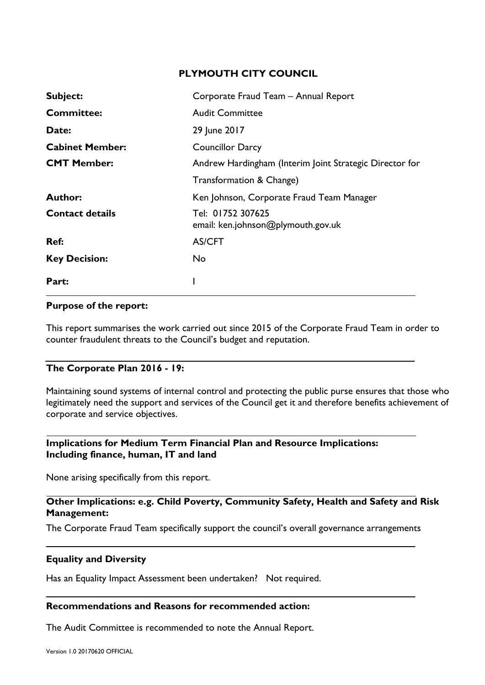### **PLYMOUTH CITY COUNCIL**

| Subject:               | Corporate Fraud Team - Annual Report                    |  |  |  |  |  |
|------------------------|---------------------------------------------------------|--|--|--|--|--|
| <b>Committee:</b>      | <b>Audit Committee</b>                                  |  |  |  |  |  |
| Date:                  | 29 June 2017                                            |  |  |  |  |  |
| <b>Cabinet Member:</b> | <b>Councillor Darcy</b>                                 |  |  |  |  |  |
| <b>CMT Member:</b>     | Andrew Hardingham (Interim Joint Strategic Director for |  |  |  |  |  |
|                        | Transformation & Change)                                |  |  |  |  |  |
| <b>Author:</b>         | Ken Johnson, Corporate Fraud Team Manager               |  |  |  |  |  |
| <b>Contact details</b> | Tel: 01752 307625<br>email: ken.johnson@plymouth.gov.uk |  |  |  |  |  |
| Ref:                   | <b>AS/CFT</b>                                           |  |  |  |  |  |
| <b>Key Decision:</b>   | No.                                                     |  |  |  |  |  |
| Part:                  |                                                         |  |  |  |  |  |

#### **Purpose of the report:**

This report summarises the work carried out since 2015 of the Corporate Fraud Team in order to counter fraudulent threats to the Council's budget and reputation.

### **The Corporate Plan 2016 - 19:**

Maintaining sound systems of internal control and protecting the public purse ensures that those who legitimately need the support and services of the Council get it and therefore benefits achievement of corporate and service objectives.

# **Implications for Medium Term Financial Plan and Resource Implications: Including finance, human, IT and land**

None arising specifically from this report.

## **Other Implications: e.g. Child Poverty, Community Safety, Health and Safety and Risk Management:**

The Corporate Fraud Team specifically support the council's overall governance arrangements

### **Equality and Diversity**

Has an Equality Impact Assessment been undertaken? Not required.

#### **Recommendations and Reasons for recommended action:**

The Audit Committee is recommended to note the Annual Report.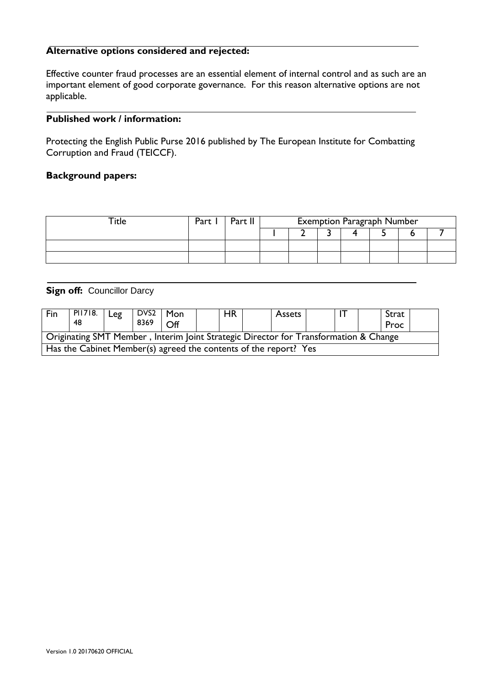# **Alternative options considered and rejected:**

Effective counter fraud processes are an essential element of internal control and as such are an important element of good corporate governance. For this reason alternative options are not applicable.

### **Published work / information:**

Protecting the English Public Purse 2016 published by The European Institute for Combatting Corruption and Fraud (TEICCF).

### **Background papers:**

| <b>Title</b> | Part | Part II | <b>Exemption Paragraph Number</b> |  |  |  |  |  |  |  |
|--------------|------|---------|-----------------------------------|--|--|--|--|--|--|--|
|              |      |         |                                   |  |  |  |  |  |  |  |
|              |      |         |                                   |  |  |  |  |  |  |  |
|              |      |         |                                   |  |  |  |  |  |  |  |

### **Sign off: Councillor Darcy**

| Fin                                                                                  | PI1718.<br>48 | Leg | $DVS2$   Mon<br>8369 | Off | <b>HR</b> |  | Assets |  |  |  | Strat<br>Proc |  |
|--------------------------------------------------------------------------------------|---------------|-----|----------------------|-----|-----------|--|--------|--|--|--|---------------|--|
| Originating SMT Member, Interim Joint Strategic Director for Transformation & Change |               |     |                      |     |           |  |        |  |  |  |               |  |
| Has the Cabinet Member(s) agreed the contents of the report? Yes                     |               |     |                      |     |           |  |        |  |  |  |               |  |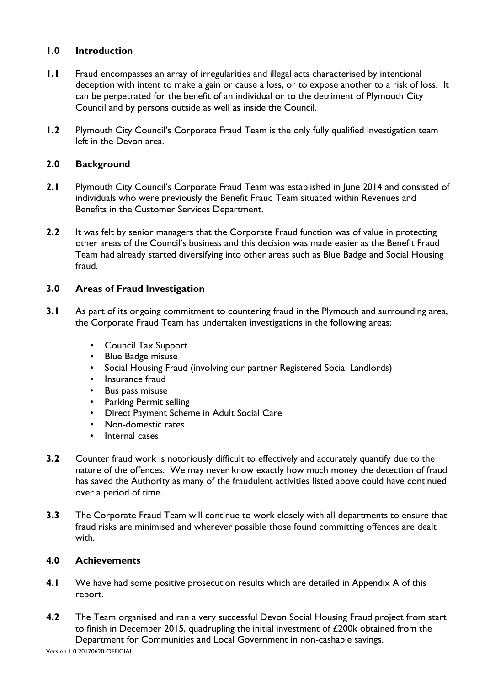# **1.0 Introduction**

- **1.1** Fraud encompasses an array of irregularities and illegal acts characterised by intentional deception with intent to make a gain or cause a loss, or to expose another to a risk of loss. It can be perpetrated for the benefit of an individual or to the detriment of Plymouth City Council and by persons outside as well as inside the Council.
- **1.2** Plymouth City Council's Corporate Fraud Team is the only fully qualified investigation team left in the Devon area.

# **2.0 Background**

- **2.1** Plymouth City Council's Corporate Fraud Team was established in June 2014 and consisted of individuals who were previously the Benefit Fraud Team situated within Revenues and Benefits in the Customer Services Department.
- **2.2** It was felt by senior managers that the Corporate Fraud function was of value in protecting other areas of the Council's business and this decision was made easier as the Benefit Fraud Team had already started diversifying into other areas such as Blue Badge and Social Housing fraud.

# **3.0 Areas of Fraud Investigation**

- **3.1** As part of its ongoing commitment to countering fraud in the Plymouth and surrounding area, the Corporate Fraud Team has undertaken investigations in the following areas:
	- Council Tax Support
	- Blue Badge misuse
	- Social Housing Fraud (involving our partner Registered Social Landlords)
	- Insurance fraud
	- Bus pass misuse
	- Parking Permit selling
	- Direct Payment Scheme in Adult Social Care
	- Non-domestic rates
	- Internal cases
- **3.2** Counter fraud work is notoriously difficult to effectively and accurately quantify due to the nature of the offences. We may never know exactly how much money the detection of fraud has saved the Authority as many of the fraudulent activities listed above could have continued over a period of time.
- **3.3** The Corporate Fraud Team will continue to work closely with all departments to ensure that fraud risks are minimised and wherever possible those found committing offences are dealt with.

# **4.0 Achievements**

- **4.1** We have had some positive prosecution results which are detailed in Appendix A of this report.
- **4.2** The Team organised and ran a very successful Devon Social Housing Fraud project from start to finish in December 2015, quadrupling the initial investment of £200k obtained from the Department for Communities and Local Government in non-cashable savings.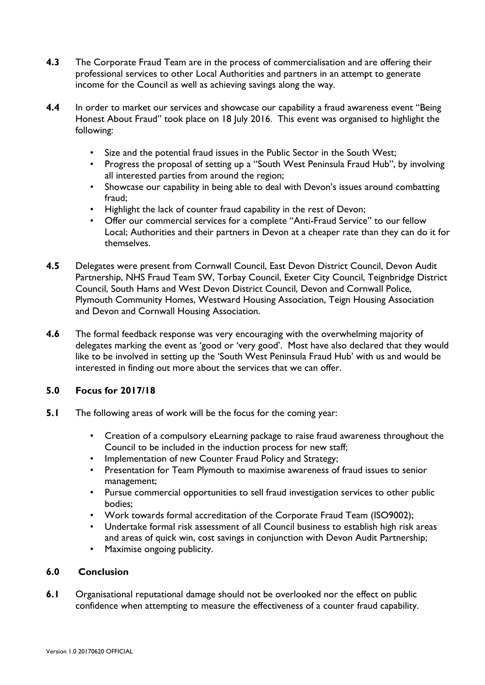- **4.3** The Corporate Fraud Team are in the process of commercialisation and are offering their professional services to other Local Authorities and partners in an attempt to generate income for the Council as well as achieving savings along the way.
- **4.4** In order to market our services and showcase our capability a fraud awareness event "Being" Honest About Fraud" took place on 18 July 2016. This event was organised to highlight the following:
	- Size and the potential fraud issues in the Public Sector in the South West;
	- Progress the proposal of setting up a "South West Peninsula Fraud Hub", by involving all interested parties from around the region;
	- Showcase our capability in being able to deal with Devon's issues around combatting fraud;
	- Highlight the lack of counter fraud capability in the rest of Devon;
	- Offer our commercial services for a complete "Anti-Fraud Service" to our fellow Local; Authorities and their partners in Devon at a cheaper rate than they can do it for themselves.
- **4.5** Delegates were present from Cornwall Council, East Devon District Council, Devon Audit Partnership, NHS Fraud Team SW, Torbay Council, Exeter City Council, Teignbridge District Council, South Hams and West Devon District Council, Devon and Cornwall Police, Plymouth Community Homes, Westward Housing Association, Teign Housing Association and Devon and Cornwall Housing Association.
- **4.6** The formal feedback response was very encouraging with the overwhelming majority of delegates marking the event as 'good or 'very good'. Most have also declared that they would like to be involved in setting up the 'South West Peninsula Fraud Hub' with us and would be interested in finding out more about the services that we can offer.

# **5.0 Focus for 2017/18**

- **5.1** The following areas of work will be the focus for the coming year:
	- Creation of a compulsory eLearning package to raise fraud awareness throughout the Council to be included in the induction process for new staff;
	- Implementation of new Counter Fraud Policy and Strategy;
	- Presentation for Team Plymouth to maximise awareness of fraud issues to senior management;
	- Pursue commercial opportunities to sell fraud investigation services to other public bodies;
	- Work towards formal accreditation of the Corporate Fraud Team (ISO9002);
	- Undertake formal risk assessment of all Council business to establish high risk areas and areas of quick win, cost savings in conjunction with Devon Audit Partnership;
	- Maximise ongoing publicity.

### **6.0 Conclusion**

**6.1** Organisational reputational damage should not be overlooked nor the effect on public confidence when attempting to measure the effectiveness of a counter fraud capability.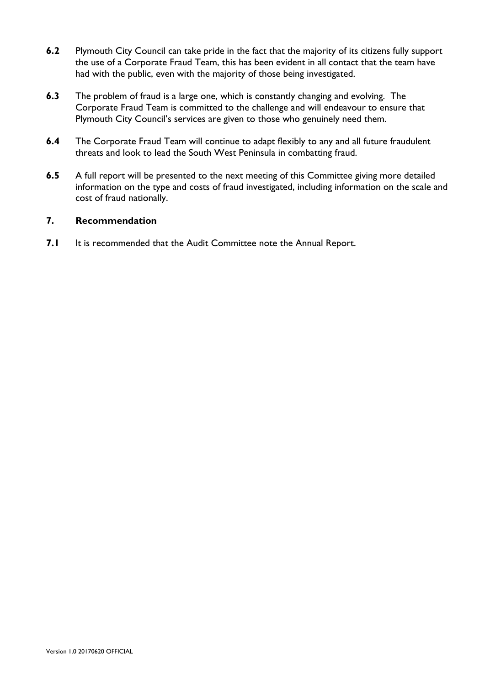- **6.2** Plymouth City Council can take pride in the fact that the majority of its citizens fully support the use of a Corporate Fraud Team, this has been evident in all contact that the team have had with the public, even with the majority of those being investigated.
- **6.3** The problem of fraud is a large one, which is constantly changing and evolving. The Corporate Fraud Team is committed to the challenge and will endeavour to ensure that Plymouth City Council's services are given to those who genuinely need them.
- **6.4** The Corporate Fraud Team will continue to adapt flexibly to any and all future fraudulent threats and look to lead the South West Peninsula in combatting fraud.
- **6.5** A full report will be presented to the next meeting of this Committee giving more detailed information on the type and costs of fraud investigated, including information on the scale and cost of fraud nationally.

### **7. Recommendation**

**7.1** It is recommended that the Audit Committee note the Annual Report.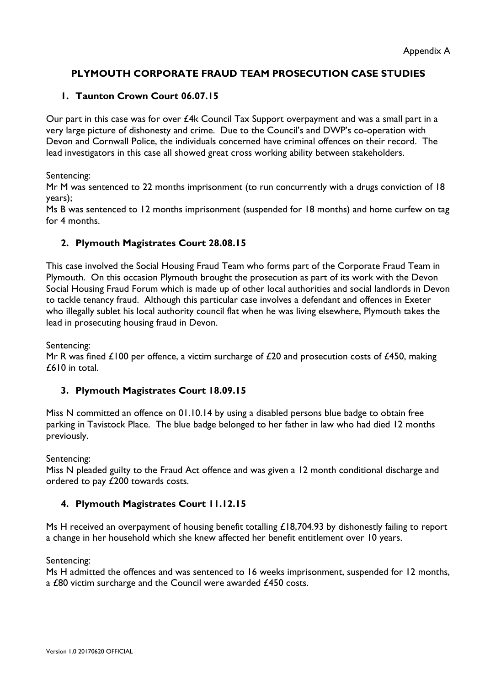# **PLYMOUTH CORPORATE FRAUD TEAM PROSECUTION CASE STUDIES**

# **1. Taunton Crown Court 06.07.15**

Our part in this case was for over £4k Council Tax Support overpayment and was a small part in a very large picture of dishonesty and crime. Due to the Council's and DWP's co-operation with Devon and Cornwall Police, the individuals concerned have criminal offences on their record. The lead investigators in this case all showed great cross working ability between stakeholders.

Sentencing:

Mr M was sentenced to 22 months imprisonment (to run concurrently with a drugs conviction of 18 years);

Ms B was sentenced to 12 months imprisonment (suspended for 18 months) and home curfew on tag for 4 months.

# **2. Plymouth Magistrates Court 28.08.15**

This case involved the Social Housing Fraud Team who forms part of the Corporate Fraud Team in Plymouth. On this occasion Plymouth brought the prosecution as part of its work with the Devon Social Housing Fraud Forum which is made up of other local authorities and social landlords in Devon to tackle tenancy fraud. Although this particular case involves a defendant and offences in Exeter who illegally sublet his local authority council flat when he was living elsewhere, Plymouth takes the lead in prosecuting housing fraud in Devon.

Sentencing:

Mr R was fined  $\pounds$ 100 per offence, a victim surcharge of  $\pounds$ 20 and prosecution costs of  $\pounds$ 450, making  $f610$  in total

# **3. Plymouth Magistrates Court 18.09.15**

Miss N committed an offence on 01.10.14 by using a disabled persons blue badge to obtain free parking in Tavistock Place. The blue badge belonged to her father in law who had died 12 months previously.

Sentencing:

Miss N pleaded guilty to the Fraud Act offence and was given a 12 month conditional discharge and ordered to pay £200 towards costs.

# **4. Plymouth Magistrates Court 11.12.15**

Ms H received an overpayment of housing benefit totalling £18,704.93 by dishonestly failing to report a change in her household which she knew affected her benefit entitlement over 10 years.

Sentencing:

Ms H admitted the offences and was sentenced to 16 weeks imprisonment, suspended for 12 months, a £80 victim surcharge and the Council were awarded £450 costs.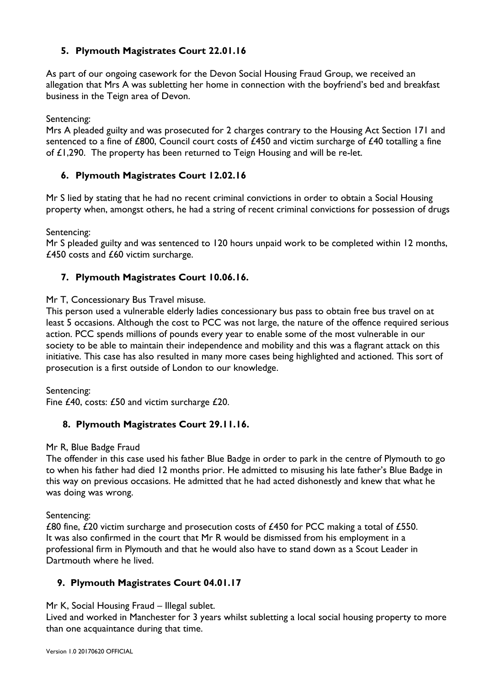# **5. Plymouth Magistrates Court 22.01.16**

As part of our ongoing casework for the Devon Social Housing Fraud Group, we received an allegation that Mrs A was subletting her home in connection with the boyfriend's bed and breakfast business in the Teign area of Devon.

Sentencing:

Mrs A pleaded guilty and was prosecuted for 2 charges contrary to the Housing Act Section 171 and sentenced to a fine of £800, Council court costs of £450 and victim surcharge of £40 totalling a fine of £1,290. The property has been returned to Teign Housing and will be re-let.

# **6. Plymouth Magistrates Court 12.02.16**

Mr S lied by stating that he had no recent criminal convictions in order to obtain a Social Housing property when, amongst others, he had a string of recent criminal convictions for possession of drugs

Sentencing:

Mr S pleaded guilty and was sentenced to 120 hours unpaid work to be completed within 12 months, £450 costs and £60 victim surcharge.

# **7. Plymouth Magistrates Court 10.06.16.**

Mr T, Concessionary Bus Travel misuse.

This person used a vulnerable elderly ladies concessionary bus pass to obtain free bus travel on at least 5 occasions. Although the cost to PCC was not large, the nature of the offence required serious action. PCC spends millions of pounds every year to enable some of the most vulnerable in our society to be able to maintain their independence and mobility and this was a flagrant attack on this initiative. This case has also resulted in many more cases being highlighted and actioned. This sort of prosecution is a first outside of London to our knowledge.

Sentencing:

Fine £40, costs: £50 and victim surcharge £20.

# **8. Plymouth Magistrates Court 29.11.16.**

### Mr R, Blue Badge Fraud

The offender in this case used his father Blue Badge in order to park in the centre of Plymouth to go to when his father had died 12 months prior. He admitted to misusing his late father's Blue Badge in this way on previous occasions. He admitted that he had acted dishonestly and knew that what he was doing was wrong.

Sentencing:

£80 fine, £20 victim surcharge and prosecution costs of £450 for PCC making a total of £550. It was also confirmed in the court that Mr R would be dismissed from his employment in a professional firm in Plymouth and that he would also have to stand down as a Scout Leader in Dartmouth where he lived.

# **9. Plymouth Magistrates Court 04.01.17**

Mr K, Social Housing Fraud – Illegal sublet.

Lived and worked in Manchester for 3 years whilst subletting a local social housing property to more than one acquaintance during that time.